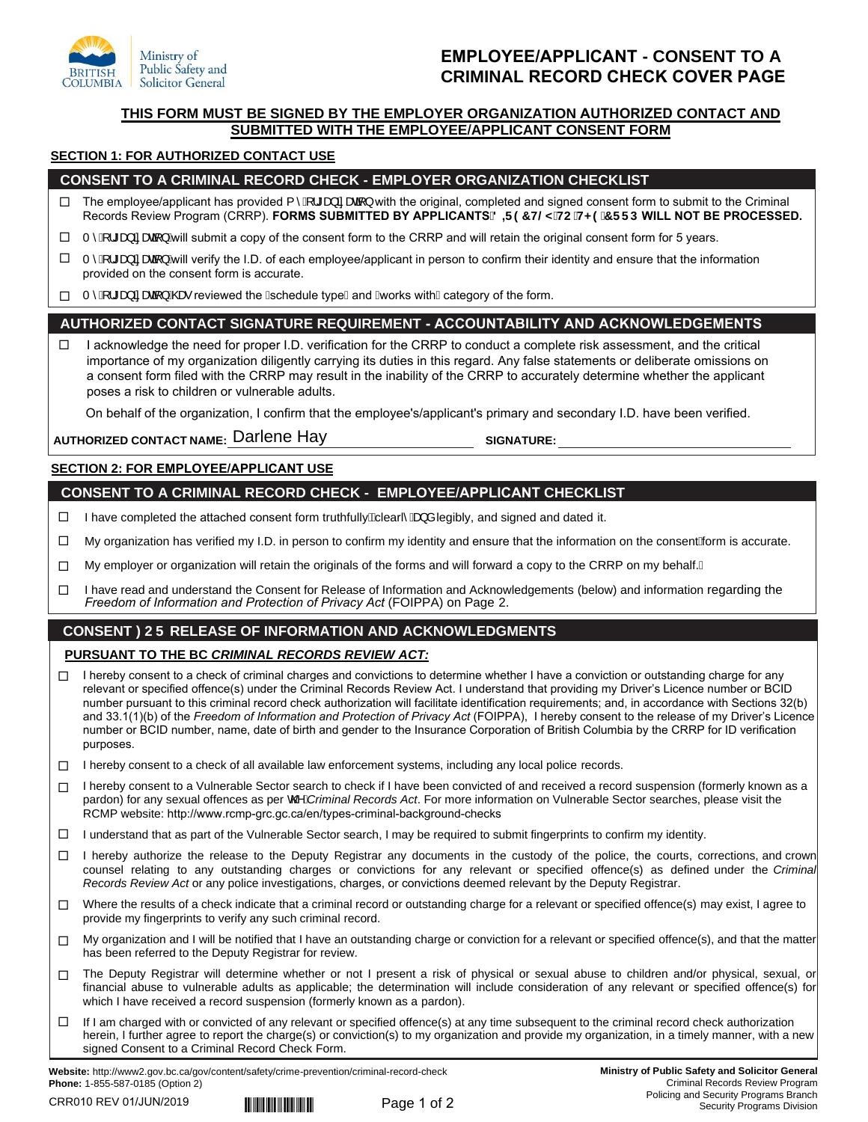

## **EMPLOYEE/APPLICANT - CONSENT TO A CRIMINAL RECORD CHECK COVER PAGE**

## **THIS FORM MUST BE SIGNED BY THE EMPLOYER ORGANIZATION AUTHORIZED CONTACT AND SUBMITTED WITH THE EMPLOYEE/APPLICANT CONSENT FORM**

#### **SECTION 1: FOR AUTHORIZED CONTACT USE**

## **CONSENT TO A CRIMINAL RECORD CHECK - EMPLOYER ORGANIZATION CHECKLIST**

- The employee/applicant has provided {  $\hat{A}$ !\* a}  $\hat{a}$  a and  $\hat{a}$ } with the original, completed and signed consent form to submit to the Criminal Records Review Program (CRRP). FORMS SUBMITTED BY APPLICANTS 8 **F97 H@MHC H<9 7 FFD WILL NOT BE PROCESSED.**  $\Box$
- $\Gamma \hat{A}$ !\* a a a a  $\hat{A}$  and  $\hat{B}$  and  $\hat{B}$  and  $\hat{B}$  and  $\hat{B}$  and will retain the original consent form for 5 years.  $\Box$
- $\Gamma \hat{A}$ !\* a a and  $\lambda$  will verify the I.D. of each employee/applicant in person to confirm their identity and ensure that the information provided on the consent form is accurate.  $\Box$
- $\Box$  T ̂ Ą̃ l \* æ) ã æã } Ææ∙ reviewed the Aschedule typeAand Avorks with Acategory of the form.

## **AUTHORIZED CONTACT SIGNATURE REQUIREMENT - ACCOUNTABILITY AND ACKNOWLEDGEMENTS**

 $\Box$  I acknowledge the need for proper I.D. verification for the CRRP to conduct a complete risk assessment, and the critical importance of my organization diligently carrying its duties in this regard. Any false statements or deliberate omissions on a consent form filed with the CRRP may result in the inability of the CRRP to accurately determine whether the applicant poses a risk to children or vulnerable adults.

On behalf of the organization, I confirm that the employee's/applicant's primary and secondary I.D. have been verified.

**AUTHORIZED CONTACT NAME: SIGNATURE:**  Darlene Hay

## **SECTION 2: FOR EMPLOYEE/APPLICANT USE**

#### **CONSENT TO A CRIMINAL RECORD CHECK - EMPLOYEE/APPLICANT CHECKLIST**

- □ I have completed the attached consent form truthfully $\tilde{\mathbf{g}}$ learl $\hat{\mathbf{g}}$  a legibly, and signed and dated it.
- П My organization has verified my I.D. in person to confirm my identity and ensure that the information on the consenthorm is accurate.
- $\Box$ My employer or organization will retain the originals of the forms and will forward a copy to the CRRP on my behalf. A
- $\Box$ I have read and understand the Consent for Release of Information and Acknowledgements (below) and information regarding the *Freedom of Information and Protection of Privacy Act* (FOIPPA) on Page 2.

## **CONSENT )25 RELEASE OF INFORMATION AND ACKNOWLEDGMENTS**

## **PURSUANT TO THE BC** *CRIMINAL RECORDS REVIEW ACT:*

- $\Box$ I hereby consent to a check of criminal charges and convictions to determine whether I have a conviction or outstanding charge for any relevant or specified offence(s) under the Criminal Records Review Act. I understand that providing my Driver's Licence number or BCID number pursuant to this criminal record check authorization will facilitate identification requirements; and, in accordance with Sections 32(b) and 33.1(1)(b) of the *Freedom of Information and Protection of Privacy Act* (FOIPPA), I hereby consent to the release of my Driver's Licence number or BCID number, name, date of birth and gender to the Insurance Corporation of British Columbia by the CRRP for ID verification purposes.
- $\Box$  I hereby consent to a check of all available law enforcement systems, including any local police records.
- П I hereby consent to a Vulnerable Sector search to check if I have been convicted of and received a record suspension (formerly known as a pardon) for any sexual offences as per CO *i*Criminal Records Act. For more information on Vulnerable Sector searches, please visit the RCMP website: <http://www.rcmp-grc.gc.ca/en/types-criminal-background-checks>
- $\Box$  I understand that as part of the Vulnerable Sector search, I may be required to submit fingerprints to confirm my identity.
- □ I hereby authorize the release to the Deputy Registrar any documents in the custody of the police, the courts, corrections, and crown counsel relating to any outstanding charges or convictions for any relevant or specified offence(s) as defined under the *Criminal Records Review Act* or any police investigations, charges, or convictions deemed relevant by the Deputy Registrar.
- □ Where the results of a check indicate that a criminal record or outstanding charge for a relevant or specified offence(s) may exist, I agree to provide my fingerprints to verify any such criminal record.
- $\Box$ My organization and I will be notified that I have an outstanding charge or conviction for a relevant or specified offence(s), and that the matter has been referred to the Deputy Registrar for review.
- П. The Deputy Registrar will determine whether or not I present a risk of physical or sexual abuse to children and/or physical, sexual, or financial abuse to vulnerable adults as applicable; the determination will include consideration of any relevant or specified offence(s) for which I have received a record suspension (formerly known as a pardon).
- $\Box$ If I am charged with or convicted of any relevant or specified offence(s) at any time subsequent to the criminal record check authorization herein, I further agree to report the charge(s) or conviction(s) to my organization and provide my organization, in a timely manner, with a new signed Consent to a Criminal Record Check Form.

**Website:** http://www2.gov.bc.ca/gov/content/safety/crime-prevention/criminal-record-check **Phone:** 1-855-587-0185 (Option 2)